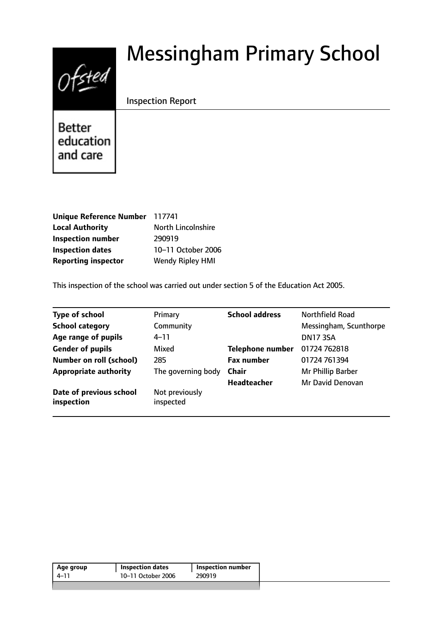# $0$ fsted

# Messingham Primary School

# Inspection Report

**Better** education and care

| <b>Unique Reference Number</b> | 117741                    |
|--------------------------------|---------------------------|
| <b>Local Authority</b>         | <b>North Lincolnshire</b> |
| <b>Inspection number</b>       | 290919                    |
| <b>Inspection dates</b>        | 10-11 October 2006        |
| <b>Reporting inspector</b>     | <b>Wendy Ripley HMI</b>   |

This inspection of the school was carried out under section 5 of the Education Act 2005.

| <b>Type of school</b>                 | Primary                     | <b>School address</b>   | <b>Northfield Road</b> |
|---------------------------------------|-----------------------------|-------------------------|------------------------|
| <b>School category</b>                | Community                   |                         | Messingham, Scunthorpe |
| Age range of pupils                   | $4 - 11$                    |                         | <b>DN17 3SA</b>        |
| <b>Gender of pupils</b>               | Mixed                       | <b>Telephone number</b> | 01724 762818           |
| <b>Number on roll (school)</b>        | 285                         | <b>Fax number</b>       | 01724 761394           |
| <b>Appropriate authority</b>          | The governing body          | <b>Chair</b>            | Mr Phillip Barber      |
|                                       |                             | <b>Headteacher</b>      | Mr David Denovan       |
| Date of previous school<br>inspection | Not previously<br>inspected |                         |                        |

| Age group | Inspection dates   | Inspection number |
|-----------|--------------------|-------------------|
| 4–11      | 10-11 October 2006 | 290919            |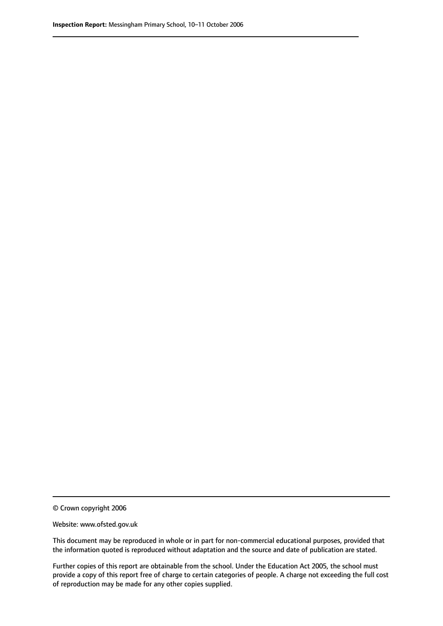© Crown copyright 2006

Website: www.ofsted.gov.uk

This document may be reproduced in whole or in part for non-commercial educational purposes, provided that the information quoted is reproduced without adaptation and the source and date of publication are stated.

Further copies of this report are obtainable from the school. Under the Education Act 2005, the school must provide a copy of this report free of charge to certain categories of people. A charge not exceeding the full cost of reproduction may be made for any other copies supplied.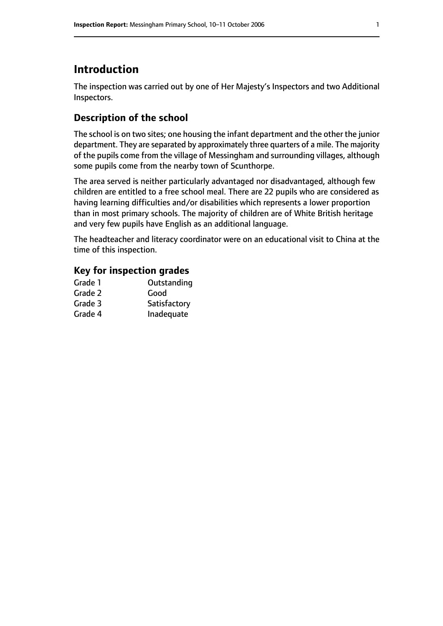# **Introduction**

The inspection was carried out by one of Her Majesty's Inspectors and two Additional Inspectors.

# **Description of the school**

The school is on two sites; one housing the infant department and the other the junior department. They are separated by approximately three quarters of a mile. The majority of the pupils come from the village of Messingham and surrounding villages, although some pupils come from the nearby town of Scunthorpe.

The area served is neither particularly advantaged nor disadvantaged, although few children are entitled to a free school meal. There are 22 pupils who are considered as having learning difficulties and/or disabilities which represents a lower proportion than in most primary schools. The majority of children are of White British heritage and very few pupils have English as an additional language.

The headteacher and literacy coordinator were on an educational visit to China at the time of this inspection.

#### **Key for inspection grades**

| Grade 1 | Outstanding  |
|---------|--------------|
| Grade 2 | Good         |
| Grade 3 | Satisfactory |
| Grade 4 | Inadequate   |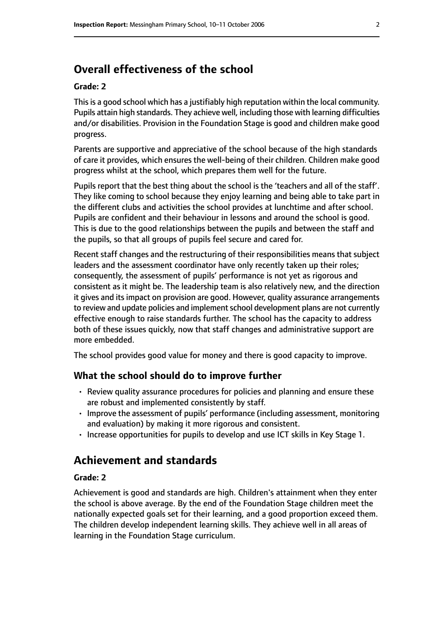# **Overall effectiveness of the school**

#### **Grade: 2**

This is a good school which has a justifiably high reputation within the local community. Pupils attain high standards. They achieve well, including those with learning difficulties and/or disabilities. Provision in the Foundation Stage is good and children make good progress.

Parents are supportive and appreciative of the school because of the high standards of care it provides, which ensures the well-being of their children. Children make good progress whilst at the school, which prepares them well for the future.

Pupils report that the best thing about the school is the 'teachers and all of the staff'. They like coming to school because they enjoy learning and being able to take part in the different clubs and activities the school provides at lunchtime and after school. Pupils are confident and their behaviour in lessons and around the school is good. This is due to the good relationships between the pupils and between the staff and the pupils, so that all groups of pupils feel secure and cared for.

Recent staff changes and the restructuring of their responsibilities means that subject leaders and the assessment coordinator have only recently taken up their roles; consequently, the assessment of pupils' performance is not yet as rigorous and consistent as it might be. The leadership team is also relatively new, and the direction it gives and its impact on provision are good. However, quality assurance arrangements to review and update policies and implement school development plans are not currently effective enough to raise standards further. The school has the capacity to address both of these issues quickly, now that staff changes and administrative support are more embedded.

The school provides good value for money and there is good capacity to improve.

#### **What the school should do to improve further**

- Review quality assurance procedures for policies and planning and ensure these are robust and implemented consistently by staff.
- Improve the assessment of pupils' performance (including assessment, monitoring and evaluation) by making it more rigorous and consistent.
- Increase opportunities for pupils to develop and use ICT skills in Key Stage 1.

# **Achievement and standards**

#### **Grade: 2**

Achievement is good and standards are high. Children's attainment when they enter the school is above average. By the end of the Foundation Stage children meet the nationally expected goals set for their learning, and a good proportion exceed them. The children develop independent learning skills. They achieve well in all areas of learning in the Foundation Stage curriculum.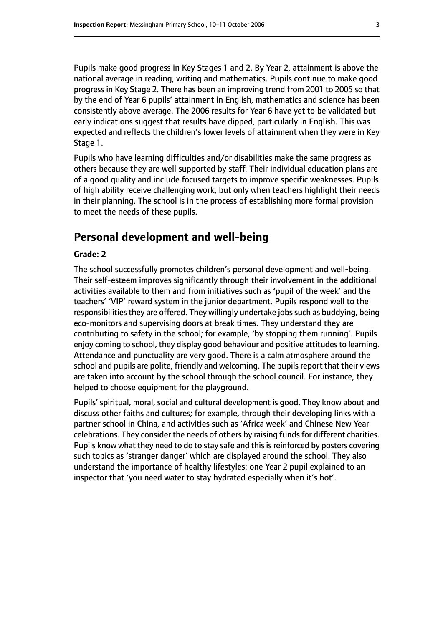Pupils make good progress in Key Stages 1 and 2. By Year 2, attainment is above the national average in reading, writing and mathematics. Pupils continue to make good progress in Key Stage 2. There has been an improving trend from 2001 to 2005 so that by the end of Year 6 pupils' attainment in English, mathematics and science has been consistently above average. The 2006 results for Year 6 have yet to be validated but early indications suggest that results have dipped, particularly in English. This was expected and reflects the children's lower levels of attainment when they were in Key Stage 1.

Pupils who have learning difficulties and/or disabilities make the same progress as others because they are well supported by staff. Their individual education plans are of a good quality and include focused targets to improve specific weaknesses. Pupils of high ability receive challenging work, but only when teachers highlight their needs in their planning. The school is in the process of establishing more formal provision to meet the needs of these pupils.

### **Personal development and well-being**

#### **Grade: 2**

The school successfully promotes children's personal development and well-being. Their self-esteem improves significantly through their involvement in the additional activities available to them and from initiatives such as 'pupil of the week' and the teachers' 'VIP' reward system in the junior department. Pupils respond well to the responsibilities they are offered. They willingly undertake jobs such as buddying, being eco-monitors and supervising doors at break times. They understand they are contributing to safety in the school; for example, 'by stopping them running'. Pupils enjoy coming to school, they display good behaviour and positive attitudes to learning. Attendance and punctuality are very good. There is a calm atmosphere around the school and pupils are polite, friendly and welcoming. The pupils report that their views are taken into account by the school through the school council. For instance, they helped to choose equipment for the playground.

Pupils' spiritual, moral, social and cultural development is good. They know about and discuss other faiths and cultures; for example, through their developing links with a partner school in China, and activities such as 'Africa week' and Chinese New Year celebrations. They consider the needs of others by raising funds for different charities. Pupils know what they need to do to stay safe and this is reinforced by posters covering such topics as 'stranger danger' which are displayed around the school. They also understand the importance of healthy lifestyles: one Year 2 pupil explained to an inspector that 'you need water to stay hydrated especially when it's hot'.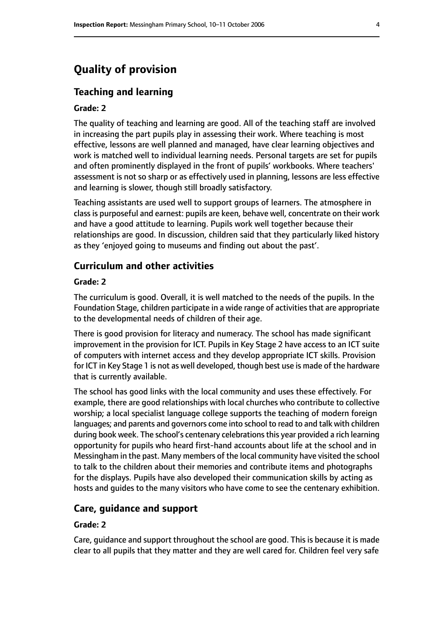# **Quality of provision**

#### **Teaching and learning**

#### **Grade: 2**

The quality of teaching and learning are good. All of the teaching staff are involved in increasing the part pupils play in assessing their work. Where teaching is most effective, lessons are well planned and managed, have clear learning objectives and work is matched well to individual learning needs. Personal targets are set for pupils and often prominently displayed in the front of pupils' workbooks. Where teachers' assessment is not so sharp or as effectively used in planning, lessons are less effective and learning is slower, though still broadly satisfactory.

Teaching assistants are used well to support groups of learners. The atmosphere in class is purposeful and earnest: pupils are keen, behave well, concentrate on their work and have a good attitude to learning. Pupils work well together because their relationships are good. In discussion, children said that they particularly liked history as they 'enjoyed going to museums and finding out about the past'.

#### **Curriculum and other activities**

#### **Grade: 2**

The curriculum is good. Overall, it is well matched to the needs of the pupils. In the Foundation Stage, children participate in a wide range of activities that are appropriate to the developmental needs of children of their age.

There is good provision for literacy and numeracy. The school has made significant improvement in the provision for ICT. Pupils in Key Stage 2 have access to an ICT suite of computers with internet access and they develop appropriate ICT skills. Provision for ICT in Key Stage 1 is not as well developed, though best use is made of the hardware that is currently available.

The school has good links with the local community and uses these effectively. For example, there are good relationships with local churches who contribute to collective worship; a local specialist language college supports the teaching of modern foreign languages; and parents and governors come into school to read to and talk with children during book week. The school's centenary celebrationsthis year provided a rich learning opportunity for pupils who heard first-hand accounts about life at the school and in Messingham in the past. Many members of the local community have visited the school to talk to the children about their memories and contribute items and photographs for the displays. Pupils have also developed their communication skills by acting as hosts and guides to the many visitors who have come to see the centenary exhibition.

#### **Care, guidance and support**

#### **Grade: 2**

Care, guidance and support throughout the school are good. This is because it is made clear to all pupils that they matter and they are well cared for. Children feel very safe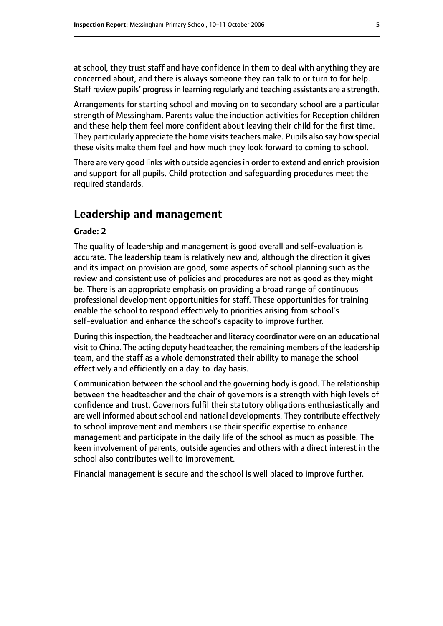at school, they trust staff and have confidence in them to deal with anything they are concerned about, and there is always someone they can talk to or turn to for help. Staff review pupils' progressin learning regularly and teaching assistants are a strength.

Arrangements for starting school and moving on to secondary school are a particular strength of Messingham. Parents value the induction activities for Reception children and these help them feel more confident about leaving their child for the first time. They particularly appreciate the home visits teachers make. Pupils also say how special these visits make them feel and how much they look forward to coming to school.

There are very good links with outside agencies in order to extend and enrich provision and support for all pupils. Child protection and safeguarding procedures meet the required standards.

# **Leadership and management**

#### **Grade: 2**

The quality of leadership and management is good overall and self-evaluation is accurate. The leadership team is relatively new and, although the direction it gives and its impact on provision are good, some aspects of school planning such as the review and consistent use of policies and procedures are not as good as they might be. There is an appropriate emphasis on providing a broad range of continuous professional development opportunities for staff. These opportunities for training enable the school to respond effectively to priorities arising from school's self-evaluation and enhance the school's capacity to improve further.

During this inspection, the headteacher and literacy coordinator were on an educational visit to China. The acting deputy headteacher, the remaining members of the leadership team, and the staff as a whole demonstrated their ability to manage the school effectively and efficiently on a day-to-day basis.

Communication between the school and the governing body is good. The relationship between the headteacher and the chair of governors is a strength with high levels of confidence and trust. Governors fulfil their statutory obligations enthusiastically and are well informed about school and national developments. They contribute effectively to school improvement and members use their specific expertise to enhance management and participate in the daily life of the school as much as possible. The keen involvement of parents, outside agencies and others with a direct interest in the school also contributes well to improvement.

Financial management is secure and the school is well placed to improve further.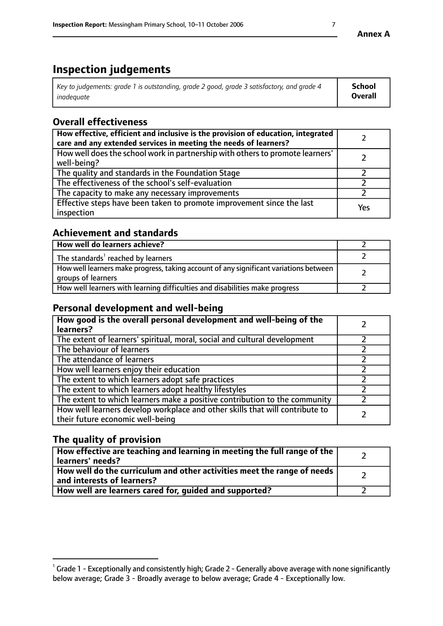# **Inspection judgements**

| Key to judgements: grade 1 is outstanding, grade 2 good, grade 3 satisfactory, and grade 4 | <b>School</b>  |
|--------------------------------------------------------------------------------------------|----------------|
| inadeauate                                                                                 | <b>Overall</b> |

# **Overall effectiveness**

| How effective, efficient and inclusive is the provision of education, integrated<br>care and any extended services in meeting the needs of learners? |     |
|------------------------------------------------------------------------------------------------------------------------------------------------------|-----|
| How well does the school work in partnership with others to promote learners'<br>well-being?                                                         |     |
| The quality and standards in the Foundation Stage                                                                                                    |     |
| The effectiveness of the school's self-evaluation                                                                                                    |     |
| The capacity to make any necessary improvements                                                                                                      |     |
| Effective steps have been taken to promote improvement since the last<br>inspection                                                                  | Yes |

# **Achievement and standards**

| How well do learners achieve?                                                                               |  |
|-------------------------------------------------------------------------------------------------------------|--|
| The standards <sup>1</sup> reached by learners                                                              |  |
| How well learners make progress, taking account of any significant variations between<br>groups of learners |  |
| How well learners with learning difficulties and disabilities make progress                                 |  |

# **Personal development and well-being**

| How good is the overall personal development and well-being of the<br>learners?                                  |  |
|------------------------------------------------------------------------------------------------------------------|--|
| The extent of learners' spiritual, moral, social and cultural development                                        |  |
| The behaviour of learners                                                                                        |  |
| The attendance of learners                                                                                       |  |
| How well learners enjoy their education                                                                          |  |
| The extent to which learners adopt safe practices                                                                |  |
| The extent to which learners adopt healthy lifestyles                                                            |  |
| The extent to which learners make a positive contribution to the community                                       |  |
| How well learners develop workplace and other skills that will contribute to<br>their future economic well-being |  |

# **The quality of provision**

| How effective are teaching and learning in meeting the full range of the<br>  learners' needs?                      |  |
|---------------------------------------------------------------------------------------------------------------------|--|
| $\mid$ How well do the curriculum and other activities meet the range of needs<br>$\mid$ and interests of learners? |  |
| How well are learners cared for, guided and supported?                                                              |  |

 $^1$  Grade 1 - Exceptionally and consistently high; Grade 2 - Generally above average with none significantly below average; Grade 3 - Broadly average to below average; Grade 4 - Exceptionally low.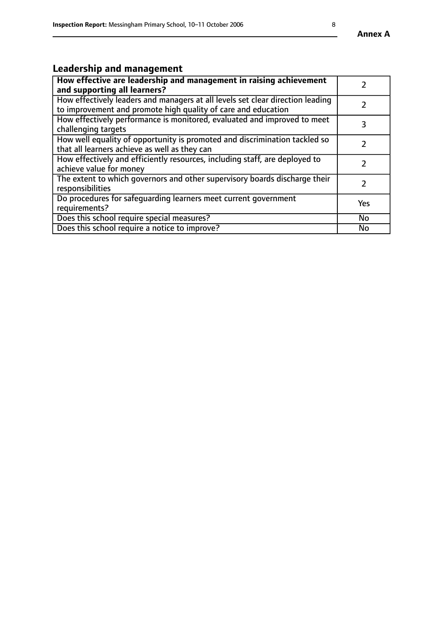# **Leadership and management**

| How effective are leadership and management in raising achievement<br>and supporting all learners?                                              |               |
|-------------------------------------------------------------------------------------------------------------------------------------------------|---------------|
| How effectively leaders and managers at all levels set clear direction leading<br>to improvement and promote high quality of care and education |               |
| How effectively performance is monitored, evaluated and improved to meet<br>challenging targets                                                 | 3             |
| How well equality of opportunity is promoted and discrimination tackled so<br>that all learners achieve as well as they can                     |               |
| How effectively and efficiently resources, including staff, are deployed to<br>achieve value for money                                          | $\mathcal{P}$ |
| The extent to which governors and other supervisory boards discharge their<br>responsibilities                                                  |               |
| Do procedures for safequarding learners meet current government<br>requirements?                                                                | Yes           |
| Does this school require special measures?                                                                                                      | No            |
| Does this school require a notice to improve?                                                                                                   | <b>No</b>     |